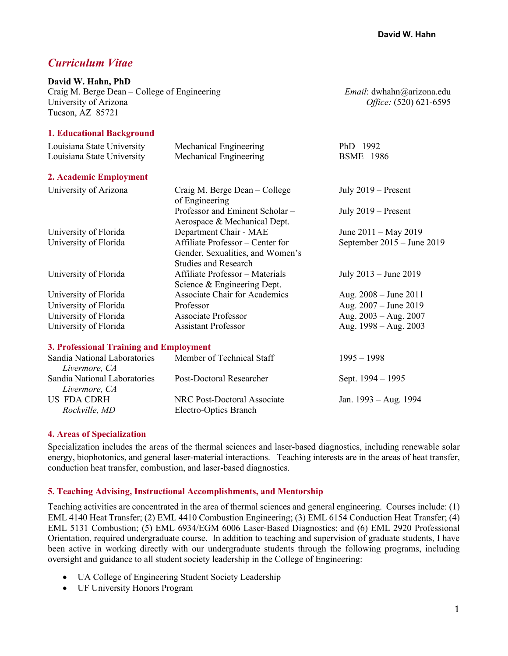# *Curriculum Vitae*

#### **David W. Hahn, PhD**

Craig M. Berge Dean – College of Engineering *Email*: dwhahn@arizona.edu University of Arizona *Office:* (520) 621-6595 Tucson, AZ 85721

#### **1. Educational Background**

| Louisiana State University                    | Mechanical Engineering                                                                              | PhD 1992                       |
|-----------------------------------------------|-----------------------------------------------------------------------------------------------------|--------------------------------|
| Louisiana State University                    | Mechanical Engineering                                                                              | <b>BSME</b> 1986               |
| 2. Academic Employment                        |                                                                                                     |                                |
| University of Arizona                         | Craig M. Berge Dean – College<br>of Engineering                                                     | July $2019$ – Present          |
|                                               | Professor and Eminent Scholar -<br>Aerospace & Mechanical Dept.                                     | July $2019$ – Present          |
| University of Florida                         | Department Chair - MAE                                                                              | June $2011 - May 2019$         |
| University of Florida                         | Affiliate Professor - Center for<br>Gender, Sexualities, and Women's<br><b>Studies and Research</b> | September $2015 -$ June $2019$ |
| University of Florida                         | Affiliate Professor - Materials<br>Science & Engineering Dept.                                      | July 2013 – June 2019          |
| University of Florida                         | <b>Associate Chair for Academics</b>                                                                | Aug. $2008 -$ June $2011$      |
| University of Florida                         | Professor                                                                                           | Aug. $2007 -$ June $2019$      |
| University of Florida                         | <b>Associate Professor</b>                                                                          | Aug. $2003 - Aug. 2007$        |
| University of Florida                         | <b>Assistant Professor</b>                                                                          | Aug. $1998 - Aug. 2003$        |
| 3. Professional Training and Employment       |                                                                                                     |                                |
| Sandia National Laboratories<br>Livermore, CA | Member of Technical Staff                                                                           | $1995 - 1998$                  |
| Sandia National Laboratories<br>Livermore, CA | <b>Post-Doctoral Researcher</b>                                                                     | Sept. 1994 – 1995              |
| <b>US FDA CDRH</b>                            | NRC Post-Doctoral Associate                                                                         | Jan. 1993 - Aug. 1994          |
| Rockville, MD                                 | Electro-Optics Branch                                                                               |                                |

#### **4. Areas of Specialization**

Specialization includes the areas of the thermal sciences and laser-based diagnostics, including renewable solar energy, biophotonics, and general laser-material interactions. Teaching interests are in the areas of heat transfer, conduction heat transfer, combustion, and laser-based diagnostics.

#### **5. Teaching Advising, Instructional Accomplishments, and Mentorship**

Teaching activities are concentrated in the area of thermal sciences and general engineering. Courses include: (1) EML 4140 Heat Transfer; (2) EML 4410 Combustion Engineering; (3) EML 6154 Conduction Heat Transfer; (4) EML 5131 Combustion; (5) EML 6934/EGM 6006 Laser-Based Diagnostics; and (6) EML 2920 Professional Orientation, required undergraduate course. In addition to teaching and supervision of graduate students, I have been active in working directly with our undergraduate students through the following programs, including oversight and guidance to all student society leadership in the College of Engineering:

- UA College of Engineering Student Society Leadership
- UF University Honors Program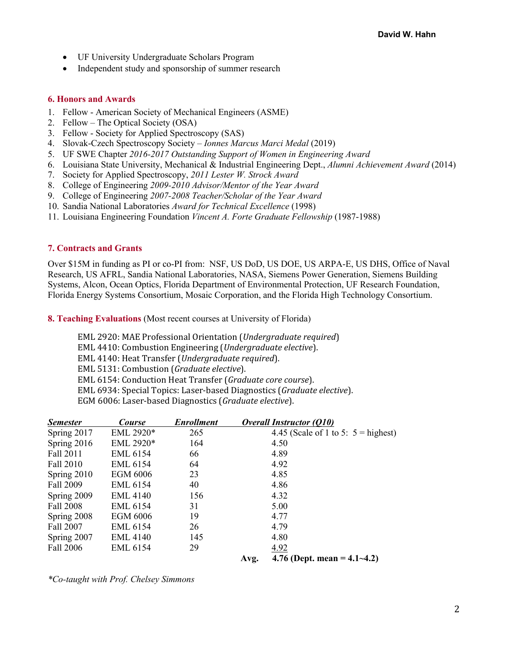- UF University Undergraduate Scholars Program
- Independent study and sponsorship of summer research

#### **6. Honors and Awards**

- 1. Fellow American Society of Mechanical Engineers (ASME)
- 2. Fellow The Optical Society (OSA)
- 3. Fellow Society for Applied Spectroscopy (SAS)
- 4. Slovak-Czech Spectroscopy Society *Ionnes Marcus Marci Medal* (2019)
- 5. UF SWE Chapter *2016-2017 Outstanding Support of Women in Engineering Award*
- 6. Louisiana State University, Mechanical & Industrial Engineering Dept., *Alumni Achievement Award* (2014)
- 7. Society for Applied Spectroscopy, *2011 Lester W. Strock Award*
- 8. College of Engineering *2009-2010 Advisor/Mentor of the Year Award*
- 9. College of Engineering *2007-2008 Teacher/Scholar of the Year Award*
- 10. Sandia National Laboratories *Award for Technical Excellence* (1998)
- 11. Louisiana Engineering Foundation *Vincent A. Forte Graduate Fellowship* (1987-1988)

#### **7. Contracts and Grants**

Over \$15M in funding as PI or co-PI from: NSF, US DoD, US DOE, US ARPA-E, US DHS, Office of Naval Research, US AFRL, Sandia National Laboratories, NASA, Siemens Power Generation, Siemens Building Systems, Alcon, Ocean Optics, Florida Department of Environmental Protection, UF Research Foundation, Florida Energy Systems Consortium, Mosaic Corporation, and the Florida High Technology Consortium.

**8. Teaching Evaluations** (Most recent courses at University of Florida)

EML 2920: MAE Professional Orientation (*Undergraduate required*) EML 4410: Combustion Engineering (*Undergraduate elective*). EML 4140: Heat Transfer (*Undergraduate required*). EML 5131: Combustion (Graduate elective). EML 6154: Conduction Heat Transfer (*Graduate core course*). EML 6934: Special Topics: Laser-based Diagnostics (*Graduate elective*). EGM 6006: Laser-based Diagnostics (Graduate elective).

| <b>Semester</b> | <b>Course</b>   | <b>Enrollment</b> |      | <b>Overall Instructor (Q10)</b>       |
|-----------------|-----------------|-------------------|------|---------------------------------------|
| Spring 2017     | EML 2920*       | 265               |      | 4.45 (Scale of 1 to 5: $5 =$ highest) |
| Spring 2016     | EML 2920*       | 164               |      | 4.50                                  |
| Fall 2011       | <b>EML 6154</b> | 66                |      | 4.89                                  |
| Fall 2010       | EML 6154        | 64                |      | 4.92                                  |
| Spring 2010     | EGM 6006        | 23                |      | 4.85                                  |
| Fall 2009       | EML 6154        | 40                |      | 4.86                                  |
| Spring 2009     | <b>EML 4140</b> | 156               |      | 4.32                                  |
| Fall 2008       | EML 6154        | 31                |      | 5.00                                  |
| Spring 2008     | EGM 6006        | 19                |      | 4.77                                  |
| Fall 2007       | <b>EML 6154</b> | 26                |      | 4.79                                  |
| Spring 2007     | <b>EML 4140</b> | 145               |      | 4.80                                  |
| Fall 2006       | <b>EML 6154</b> | 29                |      | 4.92                                  |
|                 |                 |                   | Avg. | 4.76 (Dept. mean = $4.1 - 4.2$ )      |

*\*Co-taught with Prof. Chelsey Simmons*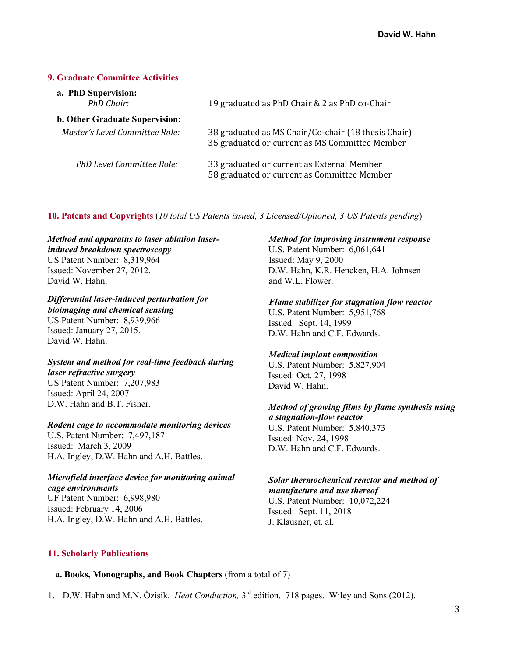### **9. Graduate Committee Activities**

| a. PhD Supervision:<br>PhD Chair:     | 19 graduated as PhD Chair & 2 as PhD co-Chair                                                         |
|---------------------------------------|-------------------------------------------------------------------------------------------------------|
| <b>b. Other Graduate Supervision:</b> |                                                                                                       |
| Master's Level Committee Role:        | 38 graduated as MS Chair/Co-chair (18 thesis Chair)<br>35 graduated or current as MS Committee Member |
| PhD Level Committee Role:             | 33 graduated or current as External Member<br>58 graduated or current as Committee Member             |

**10. Patents and Copyrights** (*10 total US Patents issued, 3 Licensed/Optioned, 3 US Patents pending*)

# *Method and apparatus to laser ablation laserinduced breakdown spectroscopy*

US Patent Number: 8,319,964 Issued: November 27, 2012. David W. Hahn.

# *Differential laser-induced perturbation for*

*bioimaging and chemical sensing* US Patent Number: 8,939,966 Issued: January 27, 2015. David W. Hahn.

#### *System and method for real-time feedback during laser refractive surgery* US Patent Number: 7,207,983 Issued: April 24, 2007 D.W. Hahn and B.T. Fisher.

## *Rodent cage to accommodate monitoring devices*

U.S. Patent Number: 7,497,187 Issued: March 3, 2009 H.A. Ingley, D.W. Hahn and A.H. Battles.

#### *Microfield interface device for monitoring animal cage environments*

UF Patent Number: 6,998,980 Issued: February 14, 2006 H.A. Ingley, D.W. Hahn and A.H. Battles.

#### *Method for improving instrument response*

U.S. Patent Number: 6,061,641 Issued: May 9, 2000 D.W. Hahn, K.R. Hencken, H.A. Johnsen and W.L. Flower.

# *Flame stabilizer for stagnation flow reactor*

U.S. Patent Number: 5,951,768 Issued: Sept. 14, 1999 D.W. Hahn and C.F. Edwards.

## *Medical implant composition*

U.S. Patent Number: 5,827,904 Issued: Oct. 27, 1998 David W. Hahn.

# *Method of growing films by flame synthesis using*

*a stagnation-flow reactor* U.S. Patent Number: 5,840,373 Issued: Nov. 24, 1998 D.W. Hahn and C.F. Edwards.

# *Solar thermochemical reactor and method of manufacture and use thereof*

U.S. Patent Number: 10,072,224 Issued: Sept. 11, 2018 J. Klausner, et. al.

## **11. Scholarly Publications**

## **a. Books, Monographs, and Book Chapters** (from a total of 7)

1. D.W. Hahn and M.N. Özişik. *Heat Conduction,* 3rd edition. 718 pages. Wiley and Sons (2012).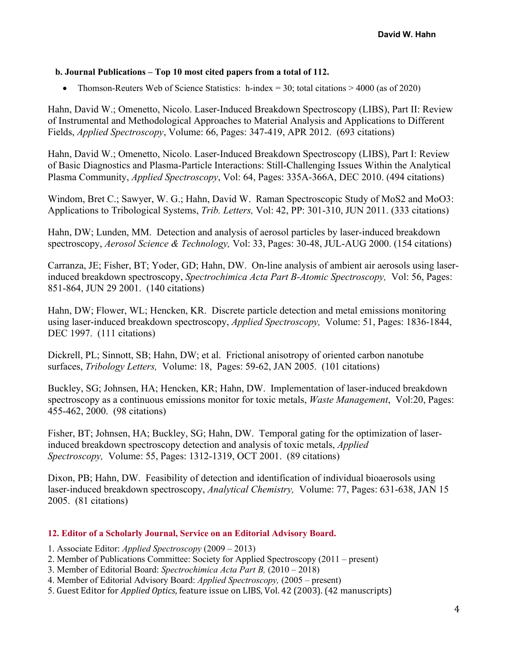## **b. Journal Publications – Top 10 most cited papers from a total of 112.**

• Thomson-Reuters Web of Science Statistics: h-index = 30; total citations  $> 4000$  (as of 2020)

Hahn, David W.; Omenetto, Nicolo. Laser-Induced Breakdown Spectroscopy (LIBS), Part II: Review of Instrumental and Methodological Approaches to Material Analysis and Applications to Different Fields, *Applied Spectroscopy*, Volume: 66, Pages: 347-419, APR 2012. (693 citations)

Hahn, David W.; Omenetto, Nicolo. Laser-Induced Breakdown Spectroscopy (LIBS), Part I: Review of Basic Diagnostics and Plasma-Particle Interactions: Still-Challenging Issues Within the Analytical Plasma Community, *Applied Spectroscopy*, Vol: 64, Pages: 335A-366A, DEC 2010. (494 citations)

Windom, Bret C.; Sawyer, W. G.; Hahn, David W. Raman Spectroscopic Study of MoS2 and MoO3: Applications to Tribological Systems, *Trib. Letters,* Vol: 42, PP: 301-310, JUN 2011. (333 citations)

Hahn, DW; Lunden, MM. Detection and analysis of aerosol particles by laser-induced breakdown spectroscopy, *Aerosol Science & Technology,* Vol: 33, Pages: 30-48, JUL-AUG 2000. (154 citations)

Carranza, JE; Fisher, BT; Yoder, GD; Hahn, DW. On-line analysis of ambient air aerosols using laserinduced breakdown spectroscopy, *Spectrochimica Acta Part B-Atomic Spectroscopy,* Vol: 56, Pages: 851-864, JUN 29 2001. (140 citations)

Hahn, DW; Flower, WL; Hencken, KR. Discrete particle detection and metal emissions monitoring using laser-induced breakdown spectroscopy, *Applied Spectroscopy,* Volume: 51, Pages: 1836-1844, DEC 1997. (111 citations)

Dickrell, PL; Sinnott, SB; Hahn, DW; et al. Frictional anisotropy of oriented carbon nanotube surfaces, *Tribology Letters,* Volume: 18, Pages: 59-62, JAN 2005. (101 citations)

Buckley, SG; Johnsen, HA; Hencken, KR; Hahn, DW. Implementation of laser-induced breakdown spectroscopy as a continuous emissions monitor for toxic metals, *Waste Management*, Vol:20, Pages: 455-462, 2000. (98 citations)

Fisher, BT; Johnsen, HA; Buckley, SG; Hahn, DW. Temporal gating for the optimization of laserinduced breakdown spectroscopy detection and analysis of toxic metals, *Applied Spectroscopy,* Volume: 55, Pages: 1312-1319, OCT 2001. (89 citations)

Dixon, PB; Hahn, DW. Feasibility of detection and identification of individual bioaerosols using laser-induced breakdown spectroscopy, *Analytical Chemistry,* Volume: 77, Pages: 631-638, JAN 15 2005. (81 citations)

#### **12. Editor of a Scholarly Journal, Service on an Editorial Advisory Board.**

- 1. Associate Editor: *Applied Spectroscopy* (2009 2013)
- 2. Member of Publications Committee: Society for Applied Spectroscopy (2011 present)
- 3. Member of Editorial Board: *Spectrochimica Acta Part B,* (2010 2018)
- 4. Member of Editorial Advisory Board: *Applied Spectroscopy,* (2005 present)
- 5. Guest Editor for *Applied Optics*, feature issue on LIBS, Vol. 42 (2003). (42 manuscripts)